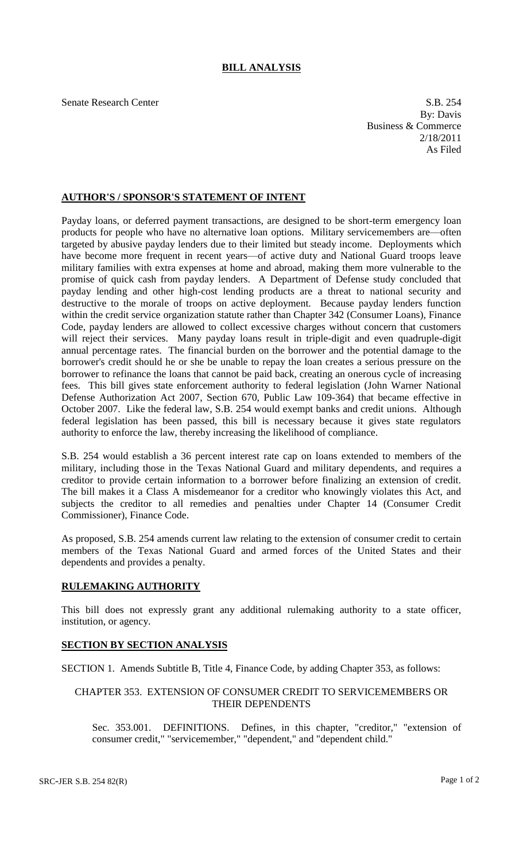# **BILL ANALYSIS**

Senate Research Center S.B. 254 By: Davis Business & Commerce 2/18/2011 As Filed

#### **AUTHOR'S / SPONSOR'S STATEMENT OF INTENT**

Payday loans, or deferred payment transactions, are designed to be short-term emergency loan products for people who have no alternative loan options. Military servicemembers are—often targeted by abusive payday lenders due to their limited but steady income. Deployments which have become more frequent in recent years—of active duty and National Guard troops leave military families with extra expenses at home and abroad, making them more vulnerable to the promise of quick cash from payday lenders. A Department of Defense study concluded that payday lending and other high-cost lending products are a threat to national security and destructive to the morale of troops on active deployment. Because payday lenders function within the credit service organization statute rather than Chapter 342 (Consumer Loans), Finance Code, payday lenders are allowed to collect excessive charges without concern that customers will reject their services. Many payday loans result in triple-digit and even quadruple-digit annual percentage rates. The financial burden on the borrower and the potential damage to the borrower's credit should he or she be unable to repay the loan creates a serious pressure on the borrower to refinance the loans that cannot be paid back, creating an onerous cycle of increasing fees. This bill gives state enforcement authority to federal legislation (John Warner National Defense Authorization Act 2007, Section 670, Public Law 109-364) that became effective in October 2007. Like the federal law, S.B. 254 would exempt banks and credit unions. Although federal legislation has been passed, this bill is necessary because it gives state regulators authority to enforce the law, thereby increasing the likelihood of compliance.

S.B. 254 would establish a 36 percent interest rate cap on loans extended to members of the military, including those in the Texas National Guard and military dependents, and requires a creditor to provide certain information to a borrower before finalizing an extension of credit. The bill makes it a Class A misdemeanor for a creditor who knowingly violates this Act, and subjects the creditor to all remedies and penalties under Chapter 14 (Consumer Credit Commissioner), Finance Code.

As proposed, S.B. 254 amends current law relating to the extension of consumer credit to certain members of the Texas National Guard and armed forces of the United States and their dependents and provides a penalty.

### **RULEMAKING AUTHORITY**

This bill does not expressly grant any additional rulemaking authority to a state officer, institution, or agency.

### **SECTION BY SECTION ANALYSIS**

SECTION 1. Amends Subtitle B, Title 4, Finance Code, by adding Chapter 353, as follows:

## CHAPTER 353. EXTENSION OF CONSUMER CREDIT TO SERVICEMEMBERS OR THEIR DEPENDENTS

Sec. 353.001. DEFINITIONS. Defines, in this chapter, "creditor," "extension of consumer credit," "servicemember," "dependent," and "dependent child."